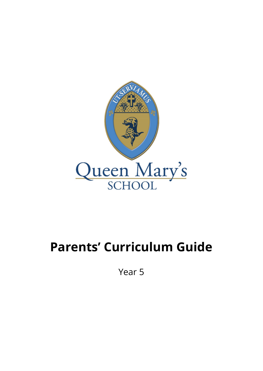

## **Parents' Curriculum Guide**

Year 5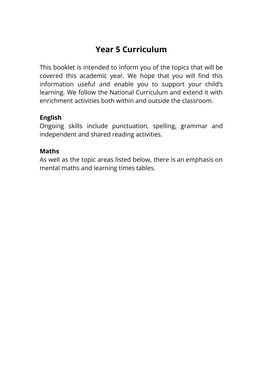## **Year 5 Curriculum**

This booklet is intended to inform you of the topics that will be covered this academic year. We hope that you will find this information useful and enable you to support your child's learning. We follow the National Curriculum and extend it with enrichment activities both within and outside the classroom.

## **English**

Ongoing skills include punctuation, spelling, grammar and independent and shared reading activities.

## **Maths**

As well as the topic areas listed below, there is an emphasis on mental maths and learning times tables.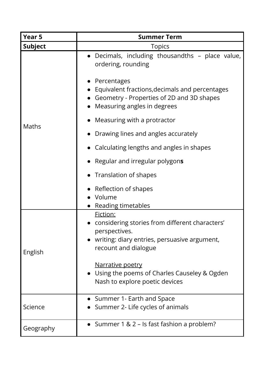| Year 5         | <b>Summer Term</b>                                                                                                                                  |
|----------------|-----------------------------------------------------------------------------------------------------------------------------------------------------|
| <b>Subject</b> | <b>Topics</b>                                                                                                                                       |
| <b>Maths</b>   | Decimals, including thousandths - place value,<br>ordering, rounding                                                                                |
|                | Percentages<br>Equivalent fractions, decimals and percentages<br>Geometry - Properties of 2D and 3D shapes<br>Measuring angles in degrees           |
|                | Measuring with a protractor                                                                                                                         |
|                | Drawing lines and angles accurately                                                                                                                 |
|                | Calculating lengths and angles in shapes                                                                                                            |
|                | Regular and irregular polygons                                                                                                                      |
|                | Translation of shapes                                                                                                                               |
|                | Reflection of shapes<br>Volume<br>Reading timetables                                                                                                |
| English        | Fiction:<br>considering stories from different characters'<br>perspectives.<br>writing: diary entries, persuasive argument,<br>recount and dialogue |
|                | Narrative poetry<br>• Using the poems of Charles Causeley & Ogden<br>Nash to explore poetic devices                                                 |
| Science        | • Summer 1- Earth and Space<br>Summer 2- Life cycles of animals                                                                                     |
| Geography      | • Summer $1 \& 2$ – Is fast fashion a problem?                                                                                                      |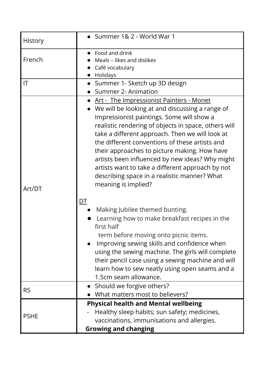| History                | • Summer 1& 2 - World War 1                                                                                                                                                                                                                                                                                                                                                                                                                                                                                                                             |
|------------------------|---------------------------------------------------------------------------------------------------------------------------------------------------------------------------------------------------------------------------------------------------------------------------------------------------------------------------------------------------------------------------------------------------------------------------------------------------------------------------------------------------------------------------------------------------------|
| French                 | Food and drink<br>Meals – likes and dislikes<br>Café vocabulary<br>Holidays                                                                                                                                                                                                                                                                                                                                                                                                                                                                             |
| $\mathsf{I}\mathsf{T}$ | • Summer 1- Sketch up 3D design<br><b>Summer 2- Animation</b>                                                                                                                                                                                                                                                                                                                                                                                                                                                                                           |
| Art/DT                 | <u>Art - The Impressionist Painters - Monet</u><br>We will be looking at and discussing a range of<br>Impressionist paintings. Some will show a<br>realistic rendering of objects in space, others will<br>take a different approach. Then we will look at<br>the different conventions of these artists and<br>their approaches to picture making. How have<br>artists been influenced by new ideas? Why might<br>artists want to take a different approach by not<br>describing space in a realistic manner? What<br>meaning is implied?<br><u>DT</u> |
|                        | Making Jubilee themed bunting.<br>Learning how to make breakfast recipes in the<br>first half<br>term before moving onto picnic items.<br>Improving sewing skills and confidence when<br>using the sewing machine. The girls will complete<br>their pencil case using a sewing machine and will<br>learn how to sew neatly using open seams and a<br>1.5cm seam allowance.                                                                                                                                                                              |
| <b>RS</b>              | • Should we forgive others?<br>What matters most to believers?                                                                                                                                                                                                                                                                                                                                                                                                                                                                                          |
| <b>PSHE</b>            | <b>Physical health and Mental wellbeing</b><br>Healthy sleep habits; sun safety; medicines,<br>vaccinations, immunisations and allergies.<br><b>Growing and changing</b>                                                                                                                                                                                                                                                                                                                                                                                |